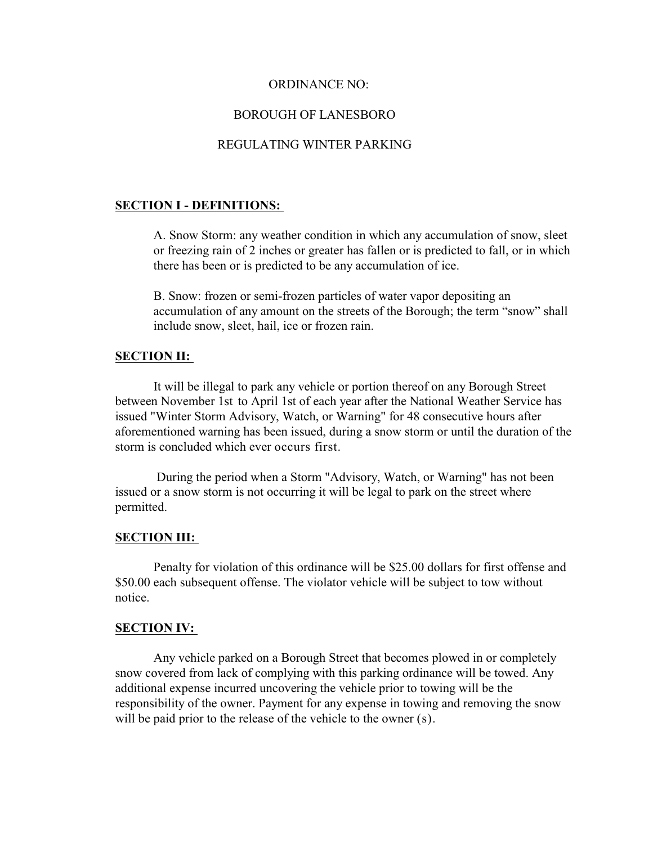## ORDINANCE NO:

## BOROUGH OF LANESBORO

## REGULATING WINTER PARKING

### **SECTION I - DEFINITIONS:**

A. Snow Storm: any weather condition in which any accumulation of snow, sleet or freezing rain of 2 inches or greater has fallen or is predicted to fall, or in which there has been or is predicted to be any accumulation of ice.

B. Snow: frozen or semi-frozen particles of water vapor depositing an accumulation of any amount on the streets of the Borough; the term "snow" shall include snow, sleet, hail, ice or frozen rain.

#### **SECTION II:**

It will be illegal to park any vehicle or portion thereof on any Borough Street between November 1st to April 1st of each year after the National Weather Service has issued "Winter Storm Advisory, Watch, or Warning" for 48 consecutive hours after aforementioned warning has been issued, during a snow storm or until the duration of the storm is concluded which ever occurs first.

 During the period when a Storm "Advisory, Watch, or Warning" has not been issued or a snow storm is not occurring it will be legal to park on the street where permitted.

#### **SECTION III:**

Penalty for violation of this ordinance will be \$25.00 dollars for first offense and \$50.00 each subsequent offense. The violator vehicle will be subject to tow without notice.

## **SECTION IV:**

Any vehicle parked on a Borough Street that becomes plowed in or completely snow covered from lack of complying with this parking ordinance will be towed. Any additional expense incurred uncovering the vehicle prior to towing will be the responsibility of the owner. Payment for any expense in towing and removing the snow will be paid prior to the release of the vehicle to the owner  $(s)$ .